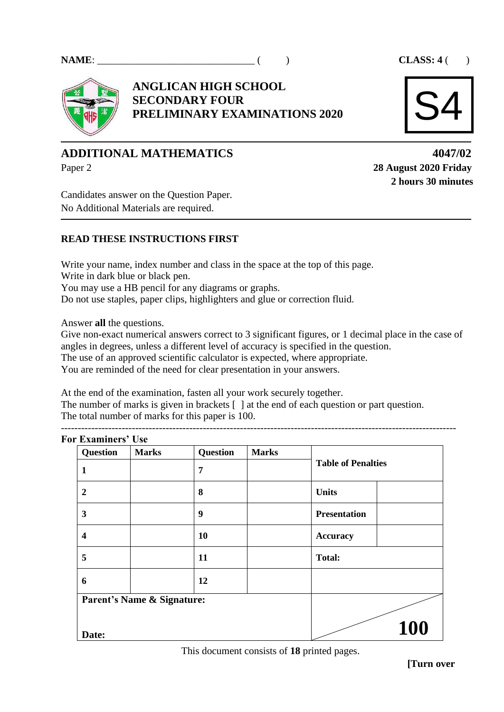# **NAME**: \_\_\_\_\_\_\_\_\_\_\_\_\_\_\_\_\_\_\_\_\_\_\_\_\_\_\_\_\_\_\_ ( ) **CLASS: 4** ( )



**ANGLICAN HIGH SCHOOL SECONDARY FOUR PRELIMINARY EXAMINATIONS 2020**



# **ADDITIONAL MATHEMATICS 4047/02**

Paper 2 **28 August 2020 Friday 2 hours 30 minutes**

Candidates answer on the Question Paper. No Additional Materials are required.

## **READ THESE INSTRUCTIONS FIRST**

Write your name, index number and class in the space at the top of this page.

Write in dark blue or black pen.

You may use a HB pencil for any diagrams or graphs.

Do not use staples, paper clips, highlighters and glue or correction fluid.

Answer **all** the questions.

Give non-exact numerical answers correct to 3 significant figures, or 1 decimal place in the case of angles in degrees, unless a different level of accuracy is specified in the question.

The use of an approved scientific calculator is expected, where appropriate.

You are reminded of the need for clear presentation in your answers.

At the end of the examination, fasten all your work securely together.

The number of marks is given in brackets  $\lceil \cdot \rceil$  at the end of each question or part question. The total number of marks for this paper is 100. ---------------------------------------------------------------------------------------------------------------------

| or Examiners′ Use          |              |                 |              |                           |
|----------------------------|--------------|-----------------|--------------|---------------------------|
| Question                   | <b>Marks</b> | <b>Question</b> | <b>Marks</b> |                           |
| 1                          |              | 7               |              | <b>Table of Penalties</b> |
| $\overline{2}$             |              | 8               |              | <b>Units</b>              |
| 3                          |              | 9               |              | <b>Presentation</b>       |
| $\overline{\mathbf{4}}$    |              | 10              |              | <b>Accuracy</b>           |
| 5                          |              | 11              |              | <b>Total:</b>             |
| 6                          |              | 12              |              |                           |
| Parent's Name & Signature: |              |                 |              |                           |
| Date:                      |              |                 |              | <b>100</b>                |

#### **For** Ex

This document consists of **18** printed pages.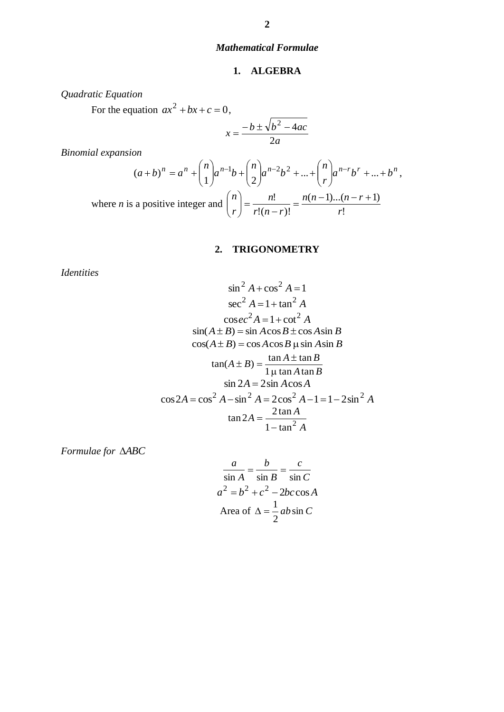# *Mathematical Formulae*

#### **1. ALGEBRA**

*Quadratic Equation*

For the equation  $ax^2 + bx + c = 0$ ,

$$
x = \frac{-b \pm \sqrt{b^2 - 4ac}}{2a}
$$

*Binomial expansion*

$$
(a+b)^n = a^n + \binom{n}{1}a^{n-1}b + \binom{n}{2}a^{n-2}b^2 + \dots + \binom{n}{r}a^{n-r}b^r + \dots + b^n,
$$
  
where *n* is a positive integer and 
$$
\binom{n}{r} = \frac{n!}{r!(n-r)!} = \frac{n(n-1)\dots(n-r+1)}{r!}
$$

# **2. TRIGONOMETRY**

*Identities*

$$
\sin^2 A + \cos^2 A = 1
$$
  
\n
$$
\sec^2 A = 1 + \tan^2 A
$$
  
\n
$$
\csc^2 A = 1 + \cot^2 A
$$
  
\n
$$
\sin(A \pm B) = \sin A \cos B \pm \cos A \sin B
$$
  
\n
$$
\cos(A \pm B) = \cos A \cos B \mu \sin A \sin B
$$
  
\n
$$
\tan(A \pm B) = \frac{\tan A \pm \tan B}{1 \mu \tan A \tan B}
$$
  
\n
$$
\sin 2A = 2 \sin A \cos A
$$
  
\n
$$
\cos 2A = \cos^2 A - \sin^2 A = 2 \cos^2 A - 1 = 1 - 2 \sin^2 A
$$
  
\n
$$
\tan 2A = \frac{2 \tan A}{1 - \tan^2 A}
$$

*Formulae for ABC*

$$
\frac{a}{\sin A} = \frac{b}{\sin B} = \frac{c}{\sin C}
$$
  

$$
a^2 = b^2 + c^2 - 2bc \cos A
$$
  
Area of  $\Delta = \frac{1}{2}ab \sin C$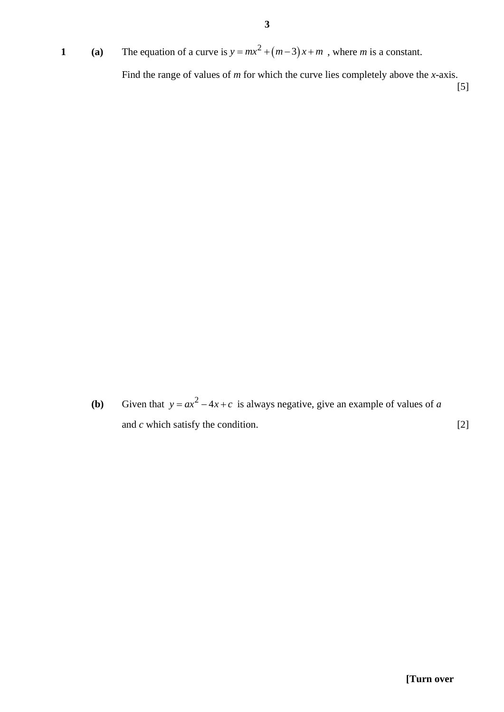**1 (a)** The equation of a curve is  $y = mx^2 + (m-3)x + m$ , where *m* is a constant. Find the range of values of *m* for which the curve lies completely above the *x*-axis.

[5]

**(b)** Given that  $y = ax^2 - 4x + c$  is always negative, give an example of values of *a* and *c* which satisfy the condition. [2]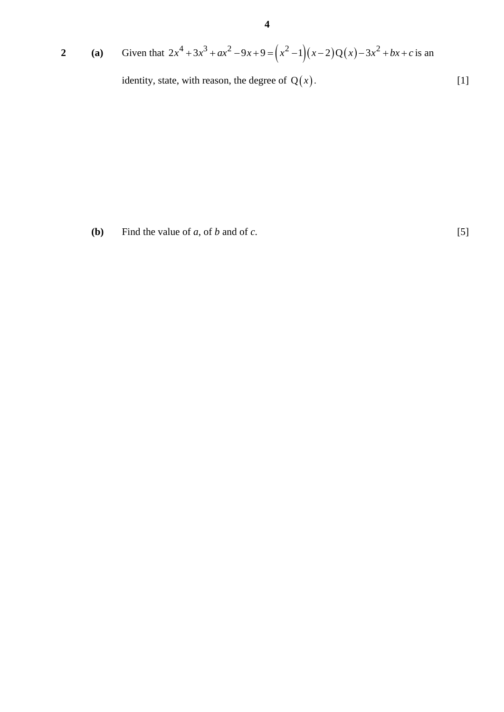# **2 (a)** Given that  $2x^4 + 3x^3 + ax^2 - 9x + 9 = (x^2 - 1)(x - 2)Q(x) - 3x^2 + bx + c$  is an identity, state, with reason, the degree of  $Q(x)$ . [1]

**(b)** Find the value of *a*, of *b* and of *c*. [5]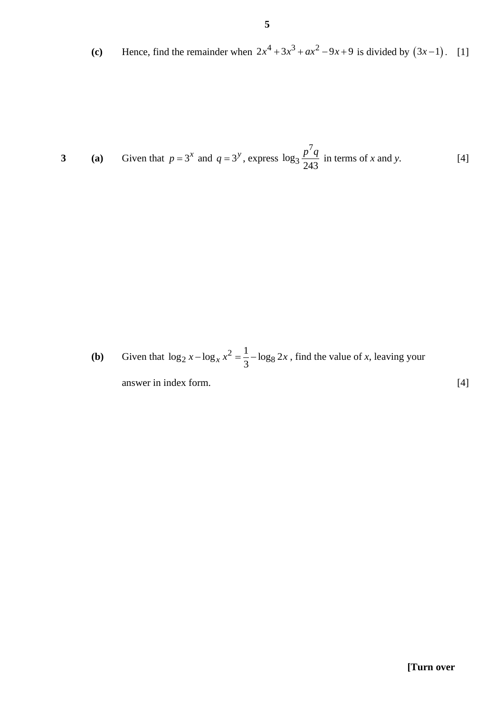(c) Hence, find the remainder when  $2x^4 + 3x^3 + ax^2 - 9x + 9$  is divided by  $(3x-1)$ . [1]

3 (a) Given that 
$$
p = 3^x
$$
 and  $q = 3^y$ , express  $\log_3 \frac{p^7 q}{243}$  in terms of x and y. [4]

**(b)** Given that 
$$
\log_2 x - \log_x x^2 = \frac{1}{3} - \log_8 2x
$$
, find the value of *x*, leaving your answer in index form. [4]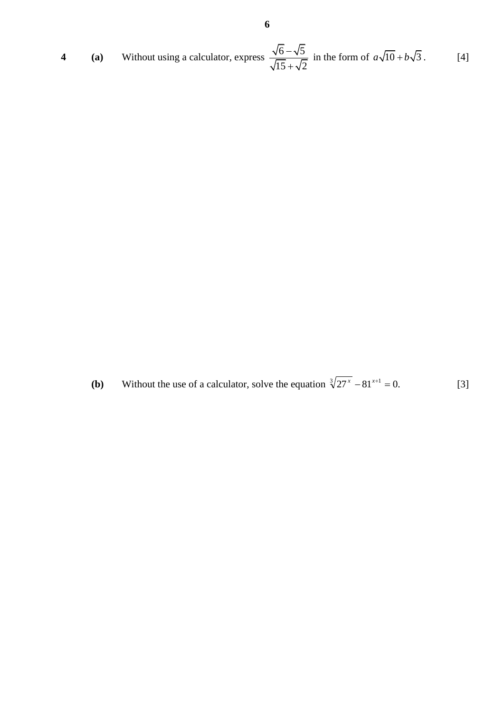4 (a) Without using a calculator, express 
$$
\frac{\sqrt{6}-\sqrt{5}}{\sqrt{15}+\sqrt{2}}
$$
 in the form of  $a\sqrt{10}+b\sqrt{3}$ . [4]

**(b)** Without the use of a calculator, solve the equation  $\sqrt[3]{27^x - 81^{x+1}} = 0$ . [3]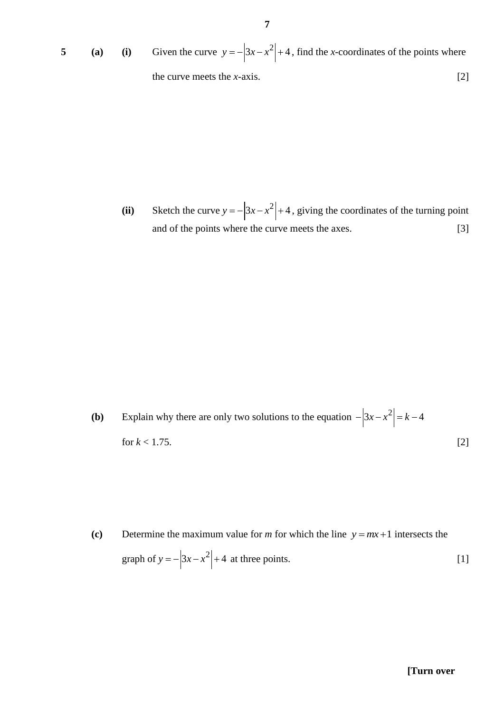**5 (a) (i)** Given the curve  $y = -|3x - x^2| + 4$ , find the *x*-coordinates of the points where the curve meets the  $x$ -axis.  $[2]$ 

> (ii) Sketch the curve  $y = -|3x - x^2| + 4$ , giving the coordinates of the turning point and of the points where the curve meets the axes. [3]

**(b)** Explain why there are only two solutions to the equation  $-\left|3x - x^2\right| = k - 4$ for  $k < 1.75$ . [2]

(c) Determine the maximum value for *m* for which the line  $y = mx + 1$  intersects the graph of  $y = -|3x - x^2| + 4$  at three points. [1]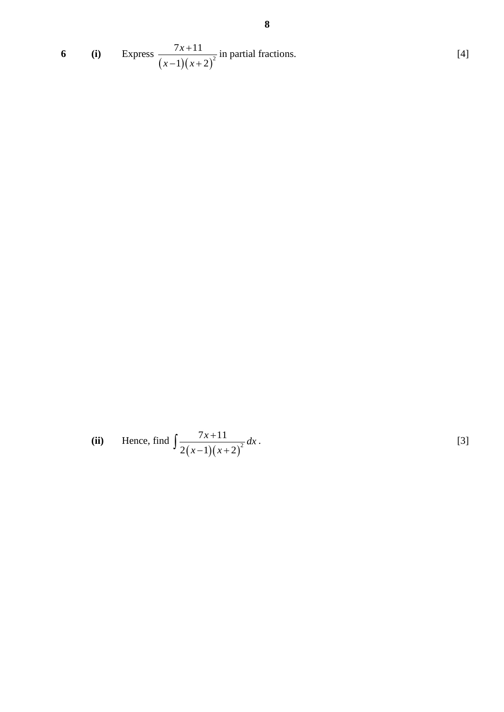6 (i) Express 
$$
\frac{7x+11}{(x-1)(x+2)^2}
$$
 in partial fractions. [4]

(ii) Hence, find 
$$
\int \frac{7x+11}{2(x-1)(x+2)^2} dx
$$
 [3]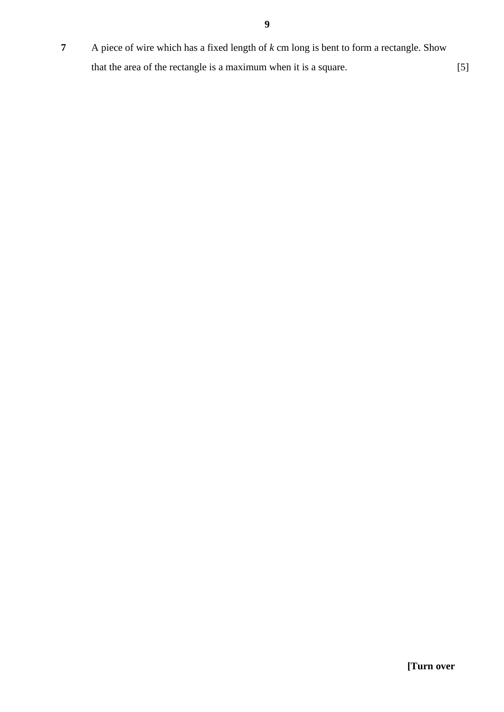**7** A piece of wire which has a fixed length of *k* cm long is bent to form a rectangle. Show that the area of the rectangle is a maximum when it is a square. [5]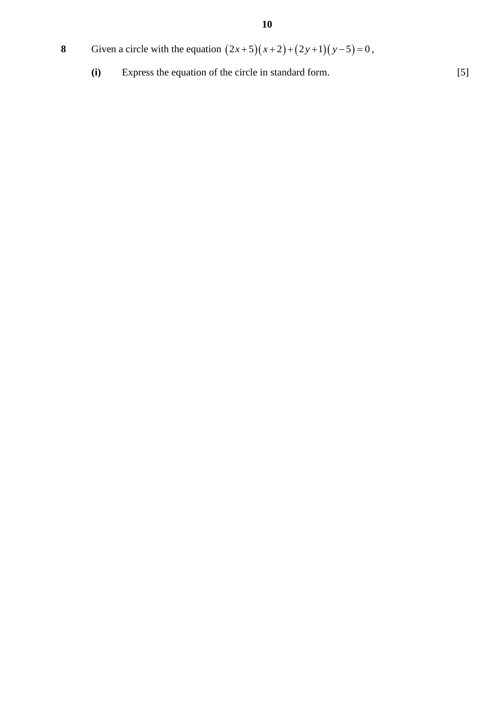- **8** Given a circle with the equation  $(2x+5)(x+2)+(2y+1)(y-5)=0$ ,
	- **(i)** Express the equation of the circle in standard form. [5]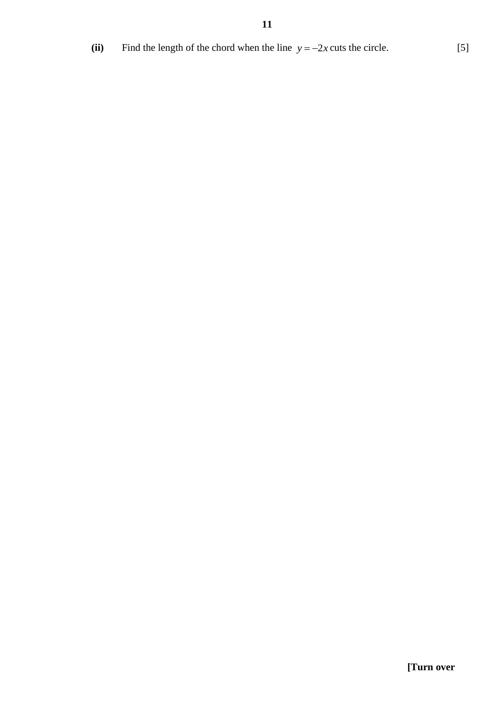(ii) Find the length of the chord when the line  $y = -2x$  cuts the circle. [5]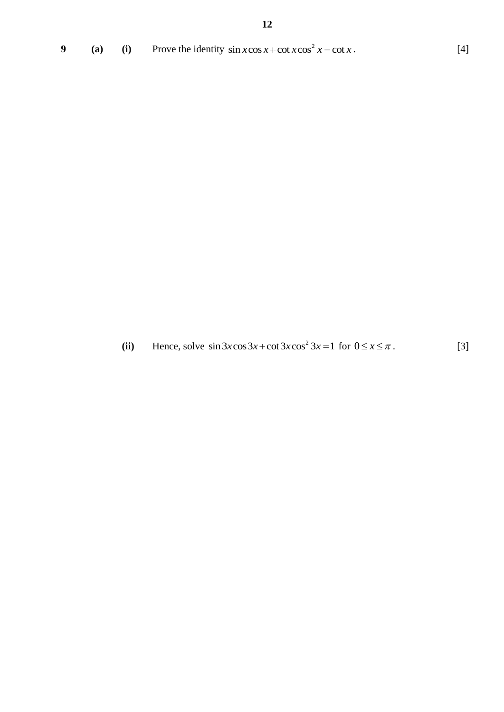|  | (a) (i) Prove the identity $\sin x \cos x + \cot x \cos^2 x = \cot x$ . | [4] |
|--|-------------------------------------------------------------------------|-----|

(ii) Hence, solve  $\sin 3x \cos 3x + \cot 3x \cos^2$  $\sin 3x \cos 3x + \cot 3x \cos^2 3x = 1$  for  $0 \le x \le \pi$ . [3]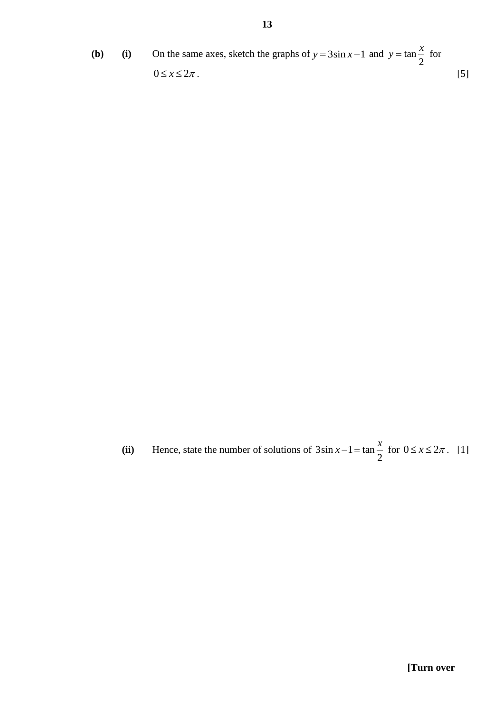**(b) (i)** On the same axes, sketch the graphs of  $y = 3\sin x - 1$  and  $y = \tan x$ 2  $y = \tan \frac{x}{2}$  for  $0 \le x \le 2\pi$ . [5]

(ii) Hence, state the number of solutions of  $3\sin x - 1 = \tan x$ 2  $x-1 = \tan \frac{x}{2}$  for  $0 \le x \le 2\pi$ . [1]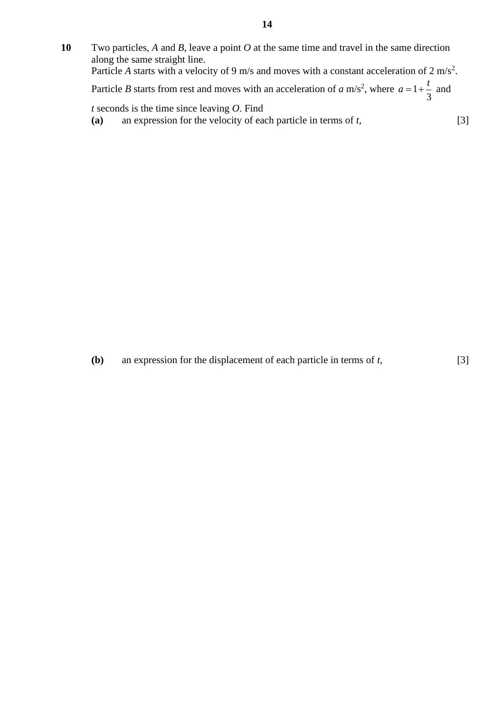**10** Two particles, *A* and *B*, leave a point *O* at the same time and travel in the same direction along the same straight line.

Particle A starts with a velocity of 9 m/s and moves with a constant acceleration of 2 m/s<sup>2</sup>.

Particle *B* starts from rest and moves with an acceleration of  $a$  m/s<sup>2</sup>, where  $a = 1$ 3  $a=1+\frac{t}{a}$  and

*t* seconds is the time since leaving *O*. Find

**(a)** an expression for the velocity of each particle in terms of *t*, [3]

**(b)** an expression for the displacement of each particle in terms of *t*, [3]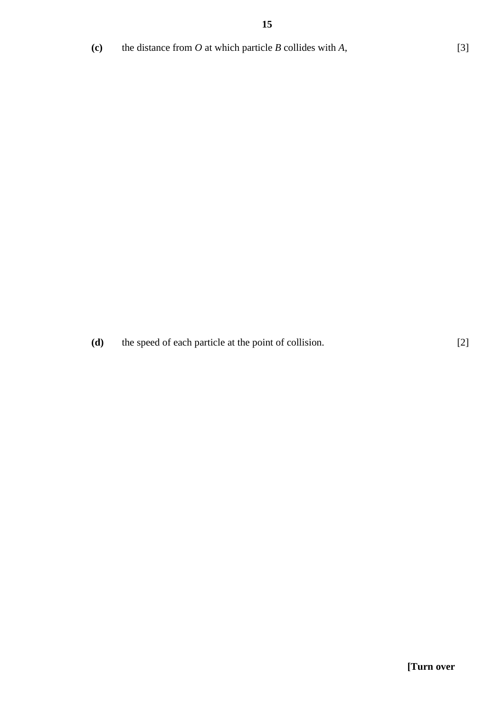(c) the distance from *O* at which particle *B* collides with *A*, [3]

**(d)** the speed of each particle at the point of collision. [2]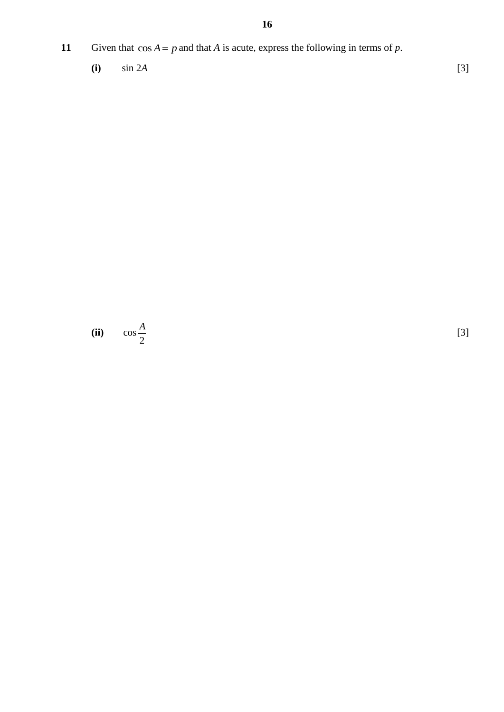- **11** Given that  $\cos A = p$  and that *A* is acute, express the following in terms of *p*.
	- **(i)** sin 2*A* [3]

**(ii)** cos 2 *A* [3]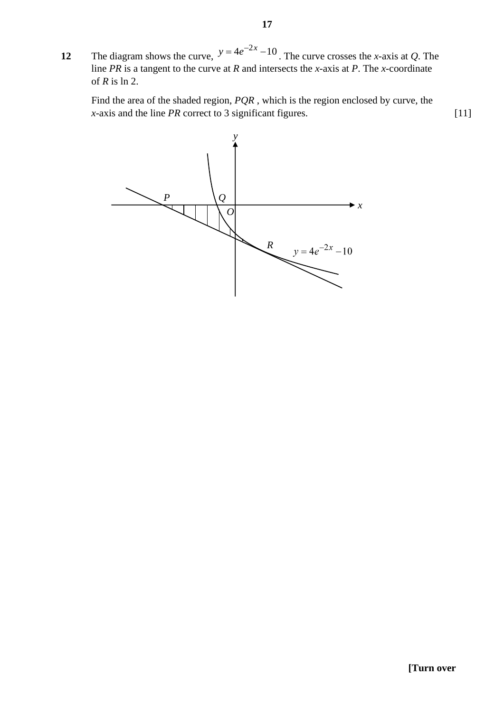**12** The diagram shows the curve,  $y = 4e^{-2x} - 10$ . The curve crosses the *x*-axis at *Q*. The line *PR* is a tangent to the curve at *R* and intersects the *x*-axis at *P*. The *x*-coordinate of *R* is ln 2.

Find the area of the shaded region, *PQR* , which is the region enclosed by curve, the *x*-axis and the line *PR* correct to 3 significant figures. [11]

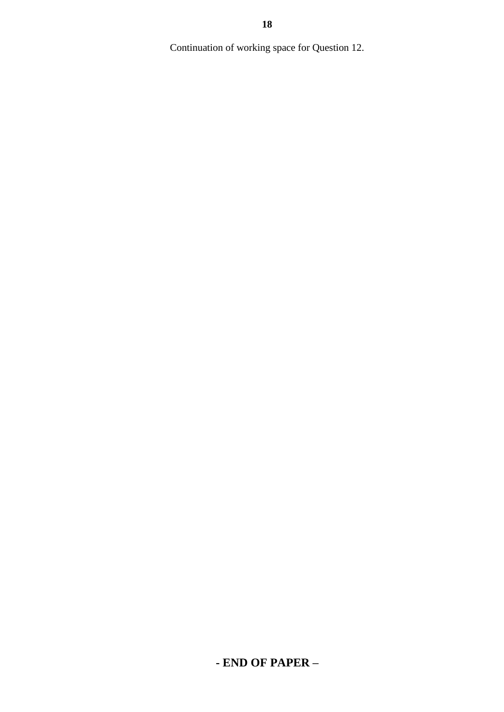Continuation of working space for Question 12.

**- END OF PAPER –**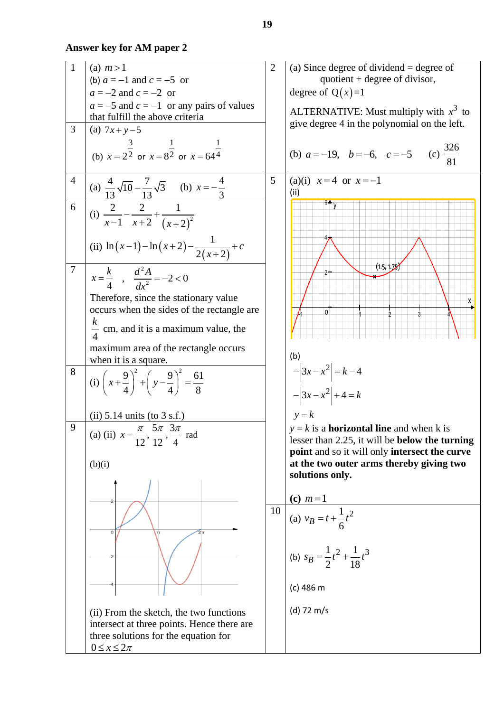# **Answer key for AM paper 2**

1 (a) 
$$
m > 1
$$
  
\n(b)  $a = -1$  and  $c = -5$  or  
\n $a = -5$  and  $c = -2$  or  
\n $a = -5$  and  $c = -1$  or any pairs of values  
\n $a = -5$  and  $c = -1$  or any pairs of values  
\n $a = -5$  and  $c = -1$  or any pairs of values  
\n $a = -5$  and  $c = -1$  or any pairs of values  
\n $a = -5$  and  $c = -1$  or any pairs of values  
\n $a = -5$  and  $c = -1$  or any pairs of values  
\n $a = -5$  and  $c = -1$  or any pairs of values  
\n $a = -5$  and  $c = 1$  or  $x = 64$   
\n $a = 3$  or  $x = 64$   
\n $a = 3$  or  $x = 64$   
\n $a = 3$  or  $x = 64$   
\n $a = 3$  or  $x = 64$   
\n $a = 3$  or  $x = 64$   
\n $a = 3$  or  $x = 64$   
\n $a = 3$  or  $x = 64$   
\n $a = 3$  or  $x = 64$   
\n $a = 3$  or  $x = 64$   
\n $a = 3$  or  $x = 64$   
\n $a = 3$  or  $x = 64$   
\n $a = 3$  or  $x = 64$   
\n $a = 3$  or  $x = 3$   
\n $a = 3$  or  $x = 3$   
\n $a = 3$  or  $x = 3$   
\n $a = 3$  or  $x = 3$   
\n $a = 3$  or  $x = 3$   
\n $a = 3$  or  $x = 3$   
\n $a = 3$  or  $x = 3$   
\n $a = 3$  or  $x = 3$   
\n $a = 3$  or  $x = 3$   
\n $a =$